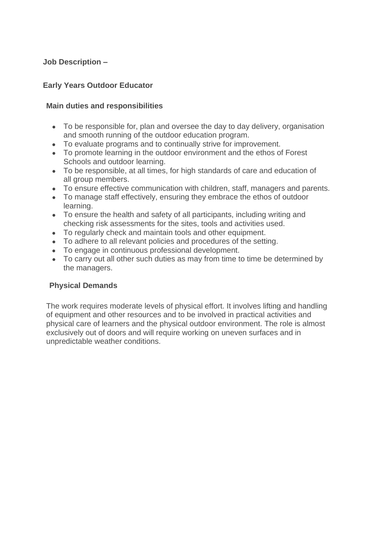### **Job Description –**

#### **Early Years Outdoor Educator**

#### **Main duties and responsibilities**

- To be responsible for, plan and oversee the day to day delivery, organisation and smooth running of the outdoor education program.
- To evaluate programs and to continually strive for improvement.
- To promote learning in the outdoor environment and the ethos of Forest Schools and outdoor learning.
- To be responsible, at all times, for high standards of care and education of all group members.
- To ensure effective communication with children, staff, managers and parents.
- To manage staff effectively, ensuring they embrace the ethos of outdoor learning.
- To ensure the health and safety of all participants, including writing and checking risk assessments for the sites, tools and activities used.
- To regularly check and maintain tools and other equipment.
- To adhere to all relevant policies and procedures of the setting.
- To engage in continuous professional development.
- To carry out all other such duties as may from time to time be determined by the managers.

#### **Physical Demands**

The work requires moderate levels of physical effort. It involves lifting and handling of equipment and other resources and to be involved in practical activities and physical care of learners and the physical outdoor environment. The role is almost exclusively out of doors and will require working on uneven surfaces and in unpredictable weather conditions.